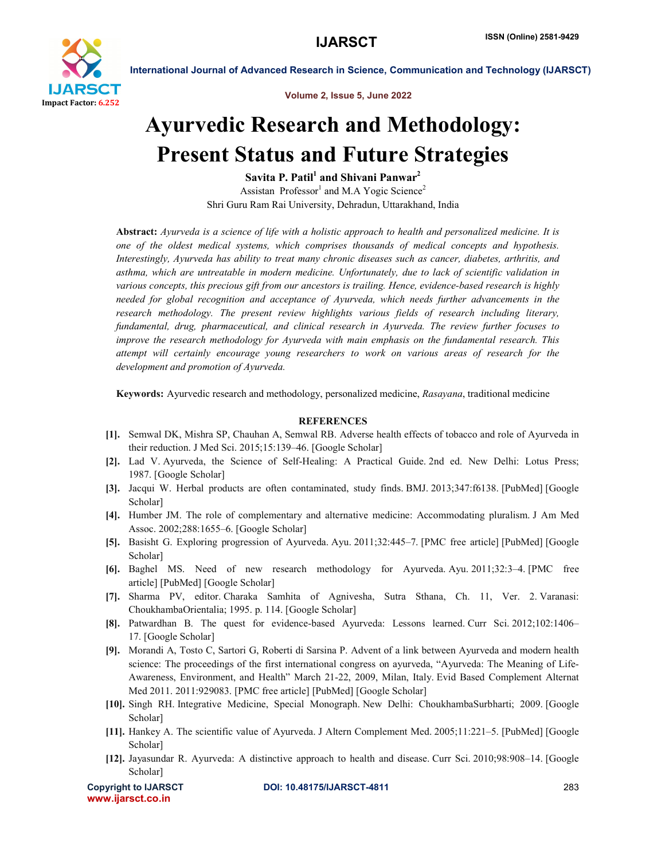

International Journal of Advanced Research in Science, Communication and Technology (IJARSCT)

Volume 2, Issue 5, June 2022

# Ayurvedic Research and Methodology: Present Status and Future Strategies

Savita P. Patil<sup>1</sup> and Shivani Panwar<sup>2</sup> Assistan Professor<sup>1</sup> and M.A Yogic Science<sup>2</sup> Shri Guru Ram Rai University, Dehradun, Uttarakhand, India

Abstract: *Ayurveda is a science of life with a holistic approach to health and personalized medicine. It is one of the oldest medical systems, which comprises thousands of medical concepts and hypothesis. Interestingly, Ayurveda has ability to treat many chronic diseases such as cancer, diabetes, arthritis, and asthma, which are untreatable in modern medicine. Unfortunately, due to lack of scientific validation in various concepts, this precious gift from our ancestors is trailing. Hence, evidence-based research is highly needed for global recognition and acceptance of Ayurveda, which needs further advancements in the research methodology. The present review highlights various fields of research including literary, fundamental, drug, pharmaceutical, and clinical research in Ayurveda. The review further focuses to improve the research methodology for Ayurveda with main emphasis on the fundamental research. This attempt will certainly encourage young researchers to work on various areas of research for the development and promotion of Ayurveda.*

Keywords: Ayurvedic research and methodology, personalized medicine, *Rasayana*, traditional medicine

# **REFERENCES**

- [1]. Semwal DK, Mishra SP, Chauhan A, Semwal RB. Adverse health effects of tobacco and role of Ayurveda in their reduction. J Med Sci. 2015;15:139–46. [Google Scholar]
- [2]. Lad V. Ayurveda, the Science of Self-Healing: A Practical Guide. 2nd ed. New Delhi: Lotus Press; 1987. [Google Scholar]
- [3]. Jacqui W. Herbal products are often contaminated, study finds. BMJ. 2013;347:f6138. [PubMed] [Google Scholar]
- [4]. Humber JM. The role of complementary and alternative medicine: Accommodating pluralism. J Am Med Assoc. 2002;288:1655–6. [Google Scholar]
- [5]. Basisht G. Exploring progression of Ayurveda. Ayu. 2011;32:445–7. [PMC free article] [PubMed] [Google Scholar]
- [6]. Baghel MS. Need of new research methodology for Ayurveda. Ayu. 2011;32:3–4. [PMC free article] [PubMed] [Google Scholar]
- [7]. Sharma PV, editor. Charaka Samhita of Agnivesha, Sutra Sthana, Ch. 11, Ver. 2. Varanasi: ChoukhambaOrientalia; 1995. p. 114. [Google Scholar]
- [8]. Patwardhan B. The quest for evidence-based Ayurveda: Lessons learned. Curr Sci. 2012;102:1406– 17. [Google Scholar]
- [9]. Morandi A, Tosto C, Sartori G, Roberti di Sarsina P. Advent of a link between Ayurveda and modern health science: The proceedings of the first international congress on ayurveda, "Ayurveda: The Meaning of Life-Awareness, Environment, and Health" March 21-22, 2009, Milan, Italy. Evid Based Complement Alternat Med 2011. 2011:929083. [PMC free article] [PubMed] [Google Scholar]
- [10]. Singh RH. Integrative Medicine, Special Monograph. New Delhi: ChoukhambaSurbharti; 2009. [Google Scholar]
- [11]. Hankey A. The scientific value of Ayurveda. J Altern Complement Med. 2005;11:221–5. [PubMed] [Google Scholar]
- [12]. Jayasundar R. Ayurveda: A distinctive approach to health and disease. Curr Sci. 2010;98:908–14. [Google Scholar]

www.ijarsct.co.in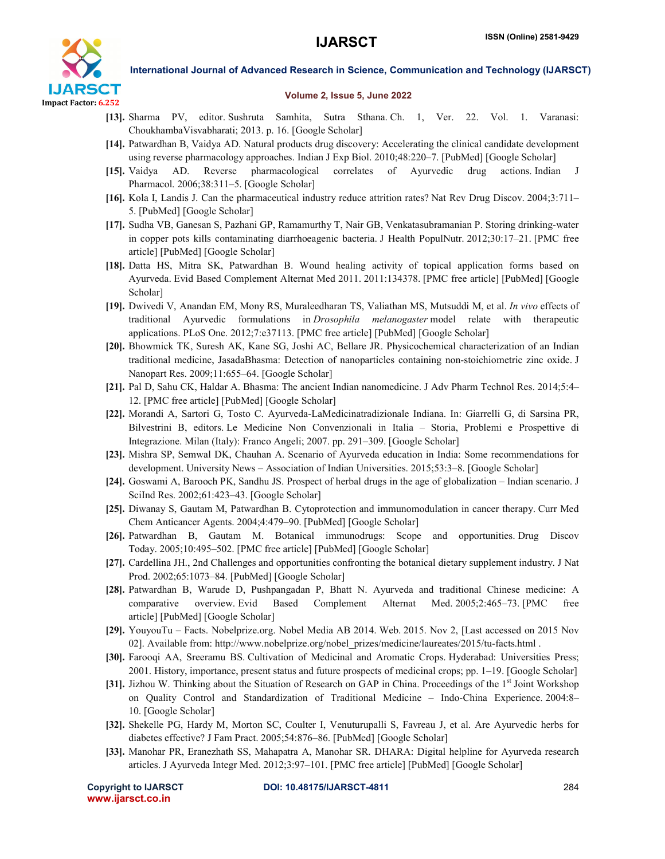

### International Journal of Advanced Research in Science, Communication and Technology (IJARSCT)

#### Volume 2, Issue 5, June 2022

- [13]. Sharma PV, editor. Sushruta Samhita, Sutra Sthana. Ch. 1, Ver. 22. Vol. 1. Varanasi: ChoukhambaVisvabharati; 2013. p. 16. [Google Scholar]
- [14]. Patwardhan B, Vaidya AD. Natural products drug discovery: Accelerating the clinical candidate development using reverse pharmacology approaches. Indian J Exp Biol. 2010;48:220–7. [PubMed] [Google Scholar]
- [15]. Vaidya AD. Reverse pharmacological correlates of Ayurvedic drug actions. Indian J Pharmacol. 2006;38:311–5. [Google Scholar]
- [16]. Kola I, Landis J. Can the pharmaceutical industry reduce attrition rates? Nat Rev Drug Discov. 2004;3:711– 5. [PubMed] [Google Scholar]
- [17]. Sudha VB, Ganesan S, Pazhani GP, Ramamurthy T, Nair GB, Venkatasubramanian P. Storing drinking-water in copper pots kills contaminating diarrhoeagenic bacteria. J Health PopulNutr. 2012;30:17–21. [PMC free article] [PubMed] [Google Scholar]
- [18]. Datta HS, Mitra SK, Patwardhan B. Wound healing activity of topical application forms based on Ayurveda. Evid Based Complement Alternat Med 2011. 2011:134378. [PMC free article] [PubMed] [Google Scholar]
- [19]. Dwivedi V, Anandan EM, Mony RS, Muraleedharan TS, Valiathan MS, Mutsuddi M, et al. *In vivo* effects of traditional Ayurvedic formulations in *Drosophila melanogaster* model relate with therapeutic applications. PLoS One. 2012;7:e37113. [PMC free article] [PubMed] [Google Scholar]
- [20]. Bhowmick TK, Suresh AK, Kane SG, Joshi AC, Bellare JR. Physicochemical characterization of an Indian traditional medicine, JasadaBhasma: Detection of nanoparticles containing non-stoichiometric zinc oxide. J Nanopart Res. 2009;11:655–64. [Google Scholar]
- [21]. Pal D, Sahu CK, Haldar A. Bhasma: The ancient Indian nanomedicine. J Adv Pharm Technol Res. 2014;5:4– 12. [PMC free article] [PubMed] [Google Scholar]
- [22]. Morandi A, Sartori G, Tosto C. Ayurveda-LaMedicinatradizionale Indiana. In: Giarrelli G, di Sarsina PR, Bilvestrini B, editors. Le Medicine Non Convenzionali in Italia – Storia, Problemi e Prospettive di Integrazione. Milan (Italy): Franco Angeli; 2007. pp. 291–309. [Google Scholar]
- [23]. Mishra SP, Semwal DK, Chauhan A. Scenario of Ayurveda education in India: Some recommendations for development. University News – Association of Indian Universities. 2015;53:3–8. [Google Scholar]
- [24]. Goswami A, Barooch PK, Sandhu JS. Prospect of herbal drugs in the age of globalization Indian scenario. J SciInd Res. 2002;61:423–43. [Google Scholar]
- [25]. Diwanay S, Gautam M, Patwardhan B. Cytoprotection and immunomodulation in cancer therapy. Curr Med Chem Anticancer Agents. 2004;4:479–90. [PubMed] [Google Scholar]
- [26]. Patwardhan B, Gautam M. Botanical immunodrugs: Scope and opportunities. Drug Discov Today. 2005;10:495–502. [PMC free article] [PubMed] [Google Scholar]
- [27]. Cardellina JH., 2nd Challenges and opportunities confronting the botanical dietary supplement industry. J Nat Prod. 2002;65:1073–84. [PubMed] [Google Scholar]
- [28]. Patwardhan B, Warude D, Pushpangadan P, Bhatt N. Ayurveda and traditional Chinese medicine: A comparative overview. Evid Based Complement Alternat Med. 2005;2:465–73. [PMC free article] [PubMed] [Google Scholar]
- [29]. YouyouTu Facts. Nobelprize.org. Nobel Media AB 2014. Web. 2015. Nov 2, [Last accessed on 2015 Nov 02]. Available from: http://www.nobelprize.org/nobel\_prizes/medicine/laureates/2015/tu-facts.html .
- [30]. Farooqi AA, Sreeramu BS. Cultivation of Medicinal and Aromatic Crops. Hyderabad: Universities Press; 2001. History, importance, present status and future prospects of medicinal crops; pp. 1–19. [Google Scholar]
- [31]. Jizhou W. Thinking about the Situation of Research on GAP in China. Proceedings of the 1<sup>st</sup> Joint Workshop on Quality Control and Standardization of Traditional Medicine – Indo-China Experience. 2004:8– 10. [Google Scholar]
- [32]. Shekelle PG, Hardy M, Morton SC, Coulter I, Venuturupalli S, Favreau J, et al. Are Ayurvedic herbs for diabetes effective? J Fam Pract. 2005;54:876–86. [PubMed] [Google Scholar]
- [33]. Manohar PR, Eranezhath SS, Mahapatra A, Manohar SR. DHARA: Digital helpline for Ayurveda research articles. J Ayurveda Integr Med. 2012;3:97–101. [PMC free article] [PubMed] [Google Scholar]

www.ijarsct.co.in